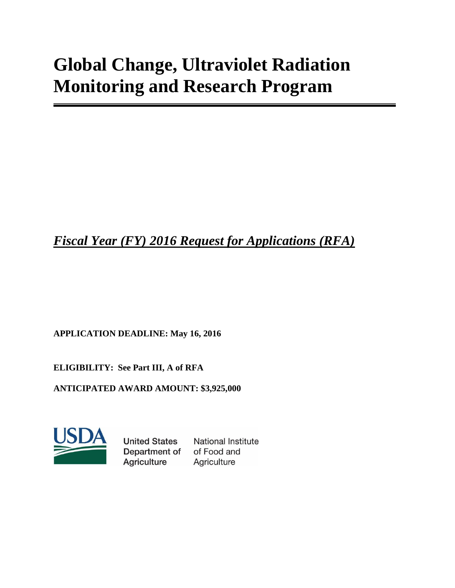# **Global Change, Ultraviolet Radiation Monitoring and Research Program**

# *Fiscal Year (FY) 2016 Request for Applications (RFA)*

**APPLICATION DEADLINE: May 16, 2016**

**ELIGIBILITY: See Part III, A of RFA**

**ANTICIPATED AWARD AMOUNT: \$3,925,000**



**United States** Department of Agriculture

**National Institute** of Food and Agriculture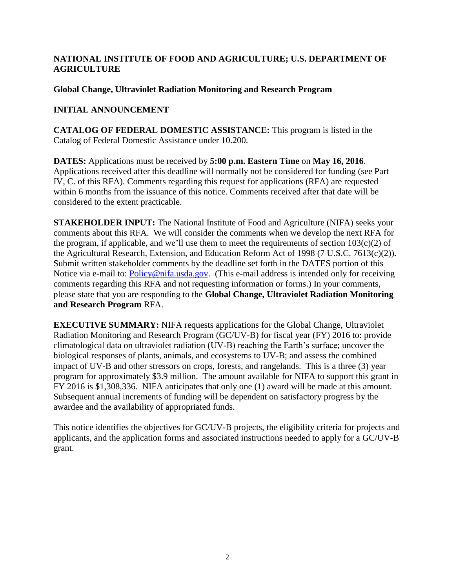### **NATIONAL INSTITUTE OF FOOD AND AGRICULTURE; U.S. DEPARTMENT OF AGRICULTURE**

#### **Global Change, Ultraviolet Radiation Monitoring and Research Program**

# **INITIAL ANNOUNCEMENT**

**CATALOG OF FEDERAL DOMESTIC ASSISTANCE:** This program is listed in the Catalog of Federal Domestic Assistance under 10.200.

**DATES:** Applications must be received by **5:00 p.m. Eastern Time** on **May 16, 2016**. Applications received after this deadline will normally not be considered for funding (see Part IV, C. of this RFA). Comments regarding this request for applications (RFA) are requested within 6 months from the issuance of this notice. Comments received after that date will be considered to the extent practicable.

**STAKEHOLDER INPUT:** The National Institute of Food and Agriculture (NIFA) seeks your comments about this RFA. We will consider the comments when we develop the next RFA for the program, if applicable, and we'll use them to meet the requirements of section  $103(c)(2)$  of the Agricultural Research, Extension, and Education Reform Act of 1998 (7 U.S.C. 7613(c)(2)). Submit written stakeholder comments by the deadline set forth in the DATES portion of this Notice via e-mail to: [Policy@nifa.usda.gov.](mailto:Policy@nifa.usda.gov) (This e-mail address is intended only for receiving comments regarding this RFA and not requesting information or forms.) In your comments, please state that you are responding to the **Global Change, Ultraviolet Radiation Monitoring and Research Program** RFA.

**EXECUTIVE SUMMARY:** NIFA requests applications for the Global Change, Ultraviolet Radiation Monitoring and Research Program (GC/UV-B) for fiscal year (FY) 2016 to: provide climatological data on ultraviolet radiation (UV-B) reaching the Earth's surface; uncover the biological responses of plants, animals, and ecosystems to UV-B; and assess the combined impact of UV-B and other stressors on crops, forests, and rangelands. This is a three (3) year program for approximately \$3.9 million. The amount available for NIFA to support this grant in FY 2016 is \$1,308,336. NIFA anticipates that only one (1) award will be made at this amount. Subsequent annual increments of funding will be dependent on satisfactory progress by the awardee and the availability of appropriated funds.

This notice identifies the objectives for GC/UV-B projects, the eligibility criteria for projects and applicants, and the application forms and associated instructions needed to apply for a GC/UV-B grant.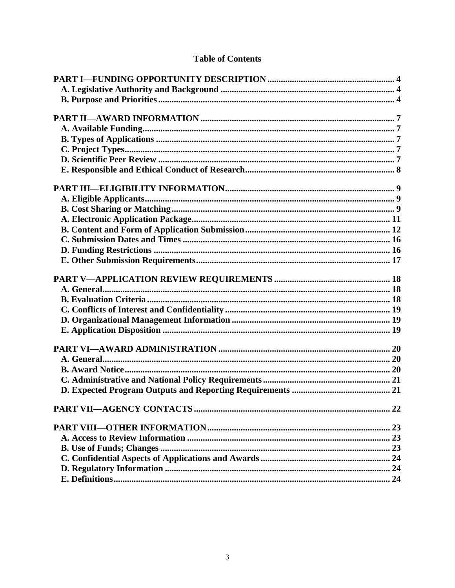# **Table of Contents**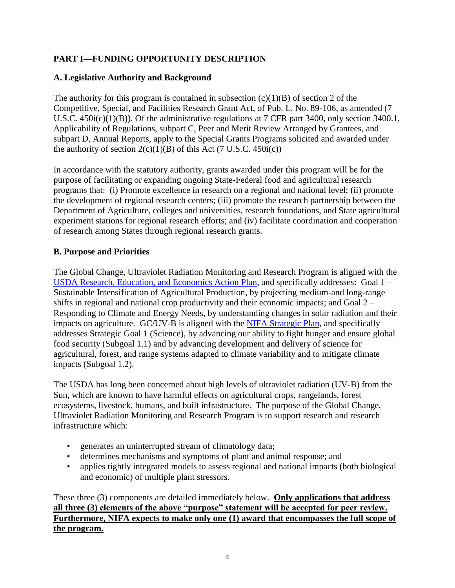# <span id="page-3-0"></span>**PART I—FUNDING OPPORTUNITY DESCRIPTION**

# <span id="page-3-1"></span>**A. Legislative Authority and Background**

The authority for this program is contained in subsection  $(c)(1)(B)$  of section 2 of the Competitive, Special, and Facilities Research Grant Act, of Pub. L. No. 89-106, as amended (7 U.S.C. 450i(c)(1)(B)). Of the administrative regulations at 7 CFR part 3400, only section 3400.1, Applicability of Regulations, subpart C, Peer and Merit Review Arranged by Grantees, and subpart D, Annual Reports, apply to the Special Grants Programs solicited and awarded under the authority of section  $2(c)(1)(B)$  of this Act (7 U.S.C. 450i(c))

In accordance with the statutory authority, grants awarded under this program will be for the purpose of facilitating or expanding ongoing State-Federal food and agricultural research programs that: (i) Promote excellence in research on a regional and national level; (ii) promote the development of regional research centers; (iii) promote the research partnership between the Department of Agriculture, colleges and universities, research foundations, and State agricultural experiment stations for regional research efforts; and (iv) facilitate coordination and cooperation of research among States through regional research grants.

# <span id="page-3-2"></span>**B. Purpose and Priorities**

The Global Change, Ultraviolet Radiation Monitoring and Research Program is aligned with the [USDA Research, Education, and Economics Action Plan,](http://www.ree.usda.gov/ree/news/USDA_2014_REE_Action_Plan_08-2014_Final.pdf) and specifically addresses: Goal 1 – Sustainable Intensification of Agricultural Production, by projecting medium-and long-range shifts in regional and national crop productivity and their economic impacts; and Goal 2 – Responding to Climate and Energy Needs, by understanding changes in solar radiation and their impacts on agriculture. GC/UV-B is aligned with the [NIFA Strategic Plan,](http://nifa.usda.gov/sites/default/files/resource/NIFA%20Strategic%20Plan%20FY2014-FY2018.pdf) and specifically addresses Strategic Goal 1 (Science), by advancing our ability to fight hunger and ensure global food security (Subgoal 1.1) and by advancing development and delivery of science for agricultural, forest, and range systems adapted to climate variability and to mitigate climate impacts (Subgoal 1.2).

The USDA has long been concerned about high levels of ultraviolet radiation (UV-B) from the Sun, which are known to have harmful effects on agricultural crops, rangelands, forest ecosystems, livestock, humans, and built infrastructure. The purpose of the Global Change, Ultraviolet Radiation Monitoring and Research Program is to support research and research infrastructure which:

- generates an uninterrupted stream of climatology data;
- determines mechanisms and symptoms of plant and animal response; and
- applies tightly integrated models to assess regional and national impacts (both biological and economic) of multiple plant stressors.

These three (3) components are detailed immediately below. **Only applications that address all three (3) elements of the above "purpose" statement will be accepted for peer review. Furthermore, NIFA expects to make only one (1) award that encompasses the full scope of the program.**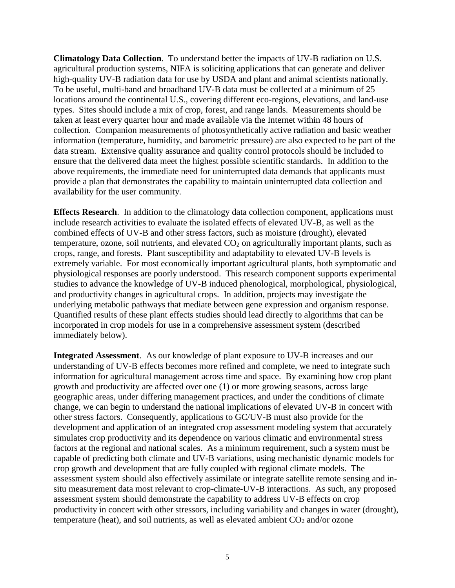**Climatology Data Collection**. To understand better the impacts of UV-B radiation on U.S. agricultural production systems, NIFA is soliciting applications that can generate and deliver high-quality UV-B radiation data for use by USDA and plant and animal scientists nationally. To be useful, multi-band and broadband UV-B data must be collected at a minimum of 25 locations around the continental U.S., covering different eco-regions, elevations, and land-use types. Sites should include a mix of crop, forest, and range lands. Measurements should be taken at least every quarter hour and made available via the Internet within 48 hours of collection. Companion measurements of photosynthetically active radiation and basic weather information (temperature, humidity, and barometric pressure) are also expected to be part of the data stream. Extensive quality assurance and quality control protocols should be included to ensure that the delivered data meet the highest possible scientific standards. In addition to the above requirements, the immediate need for uninterrupted data demands that applicants must provide a plan that demonstrates the capability to maintain uninterrupted data collection and availability for the user community.

**Effects Research**. In addition to the climatology data collection component, applications must include research activities to evaluate the isolated effects of elevated UV-B, as well as the combined effects of UV-B and other stress factors, such as moisture (drought), elevated temperature, ozone, soil nutrients, and elevated  $CO<sub>2</sub>$  on agriculturally important plants, such as crops, range, and forests. Plant susceptibility and adaptability to elevated UV-B levels is extremely variable. For most economically important agricultural plants, both symptomatic and physiological responses are poorly understood. This research component supports experimental studies to advance the knowledge of UV-B induced phenological, morphological, physiological, and productivity changes in agricultural crops. In addition, projects may investigate the underlying metabolic pathways that mediate between gene expression and organism response. Quantified results of these plant effects studies should lead directly to algorithms that can be incorporated in crop models for use in a comprehensive assessment system (described immediately below).

**Integrated Assessment**. As our knowledge of plant exposure to UV-B increases and our understanding of UV-B effects becomes more refined and complete, we need to integrate such information for agricultural management across time and space. By examining how crop plant growth and productivity are affected over one (1) or more growing seasons, across large geographic areas, under differing management practices, and under the conditions of climate change, we can begin to understand the national implications of elevated UV-B in concert with other stress factors. Consequently, applications to GC/UV-B must also provide for the development and application of an integrated crop assessment modeling system that accurately simulates crop productivity and its dependence on various climatic and environmental stress factors at the regional and national scales. As a minimum requirement, such a system must be capable of predicting both climate and UV-B variations, using mechanistic dynamic models for crop growth and development that are fully coupled with regional climate models. The assessment system should also effectively assimilate or integrate satellite remote sensing and insitu measurement data most relevant to crop-climate-UV-B interactions. As such, any proposed assessment system should demonstrate the capability to address UV-B effects on crop productivity in concert with other stressors, including variability and changes in water (drought), temperature (heat), and soil nutrients, as well as elevated ambient  $CO<sub>2</sub>$  and/or ozone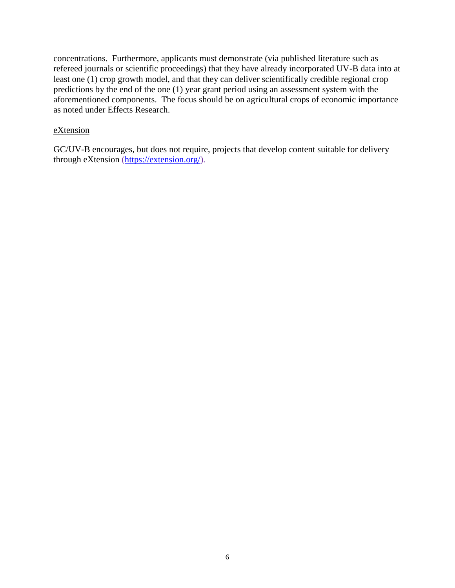concentrations. Furthermore, applicants must demonstrate (via published literature such as refereed journals or scientific proceedings) that they have already incorporated UV-B data into at least one (1) crop growth model, and that they can deliver scientifically credible regional crop predictions by the end of the one (1) year grant period using an assessment system with the aforementioned components. The focus should be on agricultural crops of economic importance as noted under Effects Research.

#### eXtension

GC/UV-B encourages, but does not require, projects that develop content suitable for delivery through eXtension [\(https://extension.org/\)](https://extension.org/).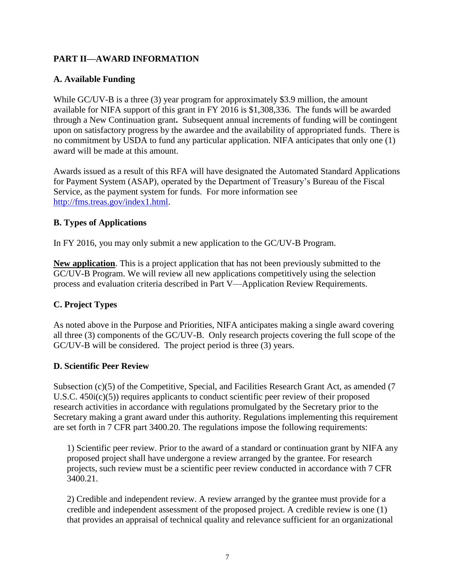# <span id="page-6-0"></span>**PART II—AWARD INFORMATION**

# <span id="page-6-1"></span>**A. Available Funding**

While GC/UV-B is a three (3) year program for approximately \$3.9 million, the amount available for NIFA support of this grant in FY 2016 is \$1,308,336. The funds will be awarded through a New Continuation grant**.** Subsequent annual increments of funding will be contingent upon on satisfactory progress by the awardee and the availability of appropriated funds. There is no commitment by USDA to fund any particular application. NIFA anticipates that only one (1) award will be made at this amount.

Awards issued as a result of this RFA will have designated the Automated Standard Applications for Payment System (ASAP), operated by the Department of Treasury's Bureau of the Fiscal Service, as the payment system for funds. For more information see [http://fms.treas.gov/index1.html.](http://fms.treas.gov/index1.html)

# <span id="page-6-2"></span>**B. Types of Applications**

In FY 2016, you may only submit a new application to the GC/UV-B Program.

**New application**. This is a project application that has not been previously submitted to the GC/UV-B Program. We will review all new applications competitively using the selection process and evaluation criteria described in Part V—Application Review Requirements.

# <span id="page-6-3"></span>**C. Project Types**

As noted above in the Purpose and Priorities, NIFA anticipates making a single award covering all three (3) components of the GC/UV-B. Only research projects covering the full scope of the GC/UV-B will be considered. The project period is three (3) years.

#### <span id="page-6-4"></span>**D. Scientific Peer Review**

Subsection (c)(5) of the Competitive, Special, and Facilities Research Grant Act, as amended (7) U.S.C. 450i(c)(5)) requires applicants to conduct scientific peer review of their proposed research activities in accordance with regulations promulgated by the Secretary prior to the Secretary making a grant award under this authority. Regulations implementing this requirement are set forth in 7 CFR part 3400.20. The regulations impose the following requirements:

1) Scientific peer review. Prior to the award of a standard or continuation grant by NIFA any proposed project shall have undergone a review arranged by the grantee. For research projects, such review must be a scientific peer review conducted in accordance with 7 CFR 3400.21.

2) Credible and independent review. A review arranged by the grantee must provide for a credible and independent assessment of the proposed project. A credible review is one (1) that provides an appraisal of technical quality and relevance sufficient for an organizational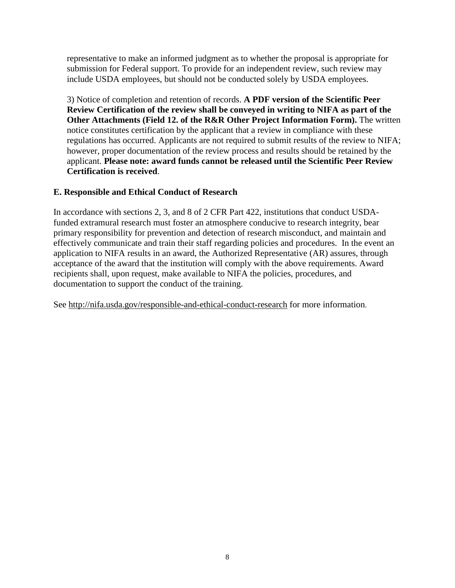representative to make an informed judgment as to whether the proposal is appropriate for submission for Federal support. To provide for an independent review, such review may include USDA employees, but should not be conducted solely by USDA employees.

3) Notice of completion and retention of records. **A PDF version of the Scientific Peer Review Certification of the review shall be conveyed in writing to NIFA as part of the Other Attachments (Field 12. of the R&R Other Project Information Form).** The written notice constitutes certification by the applicant that a review in compliance with these regulations has occurred. Applicants are not required to submit results of the review to NIFA; however, proper documentation of the review process and results should be retained by the applicant. **Please note: award funds cannot be released until the Scientific Peer Review Certification is received**.

# <span id="page-7-0"></span>**E. Responsible and Ethical Conduct of Research**

In accordance with sections 2, 3, and 8 of 2 CFR Part 422, institutions that conduct USDAfunded extramural research must foster an atmosphere conducive to research integrity, bear primary responsibility for prevention and detection of research misconduct, and maintain and effectively communicate and train their staff regarding policies and procedures. In the event an application to NIFA results in an award, the Authorized Representative (AR) assures, through acceptance of the award that the institution will comply with the above requirements. Award recipients shall, upon request, make available to NIFA the policies, procedures, and documentation to support the conduct of the training.

See<http://nifa.usda.gov/responsible-and-ethical-conduct-research> for more information.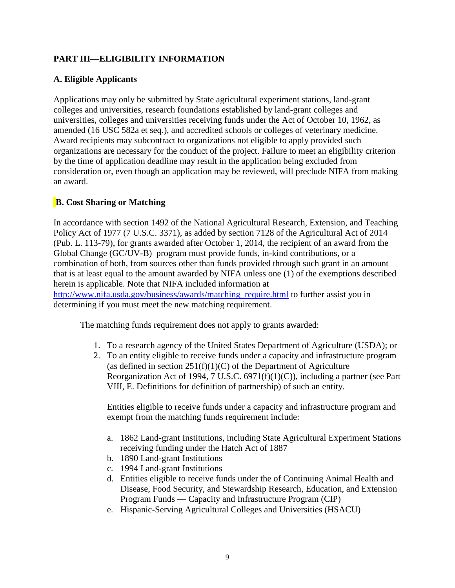# <span id="page-8-0"></span>**PART III—ELIGIBILITY INFORMATION**

# <span id="page-8-1"></span>**A. Eligible Applicants**

Applications may only be submitted by State agricultural experiment stations, land-grant colleges and universities, research foundations established by land-grant colleges and universities, colleges and universities receiving funds under the Act of October 10, 1962, as amended (16 USC 582a et seq.), and accredited schools or colleges of veterinary medicine. Award recipients may subcontract to organizations not eligible to apply provided such organizations are necessary for the conduct of the project. Failure to meet an eligibility criterion by the time of application deadline may result in the application being excluded from consideration or, even though an application may be reviewed, will preclude NIFA from making an award.

# <span id="page-8-2"></span>**B. Cost Sharing or Matching**

In accordance with section 1492 of the National Agricultural Research, Extension, and Teaching Policy Act of 1977 (7 U.S.C. 3371), as added by section 7128 of the Agricultural Act of 2014 (Pub. L. 113-79), for grants awarded after October 1, 2014, the recipient of an award from the Global Change (GC/UV-B) program must provide funds, in-kind contributions, or a combination of both, from sources other than funds provided through such grant in an amount that is at least equal to the amount awarded by NIFA unless one (1) of the exemptions described herein is applicable. Note that NIFA included information at [http://www.nifa.usda.gov/business/awards/matching\\_require.html](http://www.nifa.usda.gov/business/awards/matching_require.html) to further assist you in determining if you must meet the new matching requirement.

The matching funds requirement does not apply to grants awarded:

- 1. To a research agency of the United States Department of Agriculture (USDA); or
- 2. To an entity eligible to receive funds under a capacity and infrastructure program (as defined in section  $251(f)(1)(C)$  of the Department of Agriculture Reorganization Act of 1994, 7 U.S.C.  $6971(f)(1)(C)$ ), including a partner (see Part VIII, E. Definitions for definition of partnership) of such an entity.

Entities eligible to receive funds under a capacity and infrastructure program and exempt from the matching funds requirement include:

- a. 1862 Land-grant Institutions, including State Agricultural Experiment Stations receiving funding under the Hatch Act of 1887
- b. 1890 Land-grant Institutions
- c. 1994 Land-grant Institutions
- d. Entities eligible to receive funds under the of Continuing Animal Health and Disease, Food Security, and Stewardship Research, Education, and Extension Program Funds — Capacity and Infrastructure Program (CIP)
- e. Hispanic-Serving Agricultural Colleges and Universities (HSACU)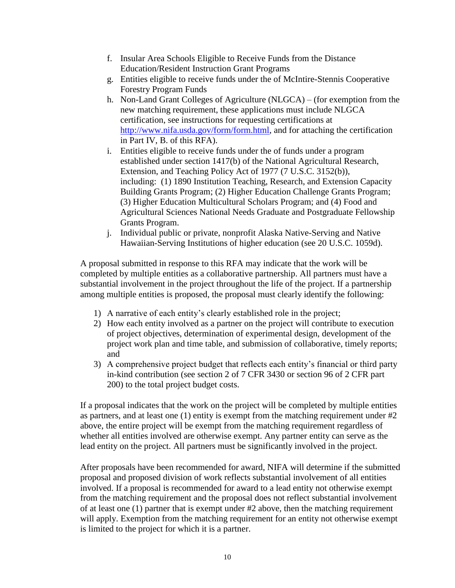- f. Insular Area Schools Eligible to Receive Funds from the Distance Education/Resident Instruction Grant Programs
- g. Entities eligible to receive funds under the of McIntire-Stennis Cooperative Forestry Program Funds
- h. Non-Land Grant Colleges of Agriculture (NLGCA) (for exemption from the new matching requirement, these applications must include NLGCA certification, see instructions for requesting certifications at [http://www.nifa.usda.gov/form/form.html,](http://www.nifa.usda.gov/form/form.html) and for attaching the certification in Part IV, B. of this RFA).
- i. Entities eligible to receive funds under the of funds under a program established under section 1417(b) of the National Agricultural Research, Extension, and Teaching Policy Act of 1977 (7 U.S.C. 3152(b)), including: (1) 1890 Institution Teaching, Research, and Extension Capacity Building Grants Program; (2) Higher Education Challenge Grants Program; (3) Higher Education Multicultural Scholars Program; and (4) Food and Agricultural Sciences National Needs Graduate and Postgraduate Fellowship Grants Program.
- j. Individual public or private, nonprofit Alaska Native-Serving and Native Hawaiian-Serving Institutions of higher education (see 20 U.S.C. 1059d).

A proposal submitted in response to this RFA may indicate that the work will be completed by multiple entities as a collaborative partnership. All partners must have a substantial involvement in the project throughout the life of the project. If a partnership among multiple entities is proposed, the proposal must clearly identify the following:

- 1) A narrative of each entity's clearly established role in the project;
- 2) How each entity involved as a partner on the project will contribute to execution of project objectives, determination of experimental design, development of the project work plan and time table, and submission of collaborative, timely reports; and
- 3) A comprehensive project budget that reflects each entity's financial or third party in-kind contribution (see section 2 of 7 CFR 3430 or section 96 of 2 CFR part 200) to the total project budget costs.

If a proposal indicates that the work on the project will be completed by multiple entities as partners, and at least one (1) entity is exempt from the matching requirement under #2 above, the entire project will be exempt from the matching requirement regardless of whether all entities involved are otherwise exempt. Any partner entity can serve as the lead entity on the project. All partners must be significantly involved in the project.

After proposals have been recommended for award, NIFA will determine if the submitted proposal and proposed division of work reflects substantial involvement of all entities involved. If a proposal is recommended for award to a lead entity not otherwise exempt from the matching requirement and the proposal does not reflect substantial involvement of at least one  $(1)$  partner that is exempt under  $#2$  above, then the matching requirement will apply. Exemption from the matching requirement for an entity not otherwise exempt is limited to the project for which it is a partner.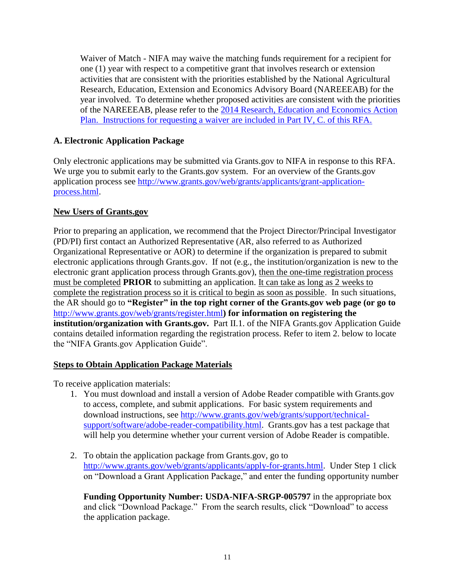Waiver of Match - NIFA may waive the matching funds requirement for a recipient for one (1) year with respect to a competitive grant that involves research or extension activities that are consistent with the priorities established by the National Agricultural Research, Education, Extension and Economics Advisory Board (NAREEEAB) for the year involved. To determine whether proposed activities are consistent with the priorities of the NAREEEAB, please refer to the [2014 Research, Education and Economics Action](http://www.ree.usda.gov/ree/news/USDA_REE_Action_Plan_03-2014.pdf)  [Plan.](http://www.ree.usda.gov/ree/news/USDA_REE_Action_Plan_03-2014.pdf) Instructions for requesting a waiver are included in Part IV, C. of this RFA.

# <span id="page-10-0"></span>**A. Electronic Application Package**

Only electronic applications may be submitted via Grants.gov to NIFA in response to this RFA. We urge you to submit early to the Grants.gov system. For an overview of the Grants.gov application process see [http://www.grants.gov/web/grants/applicants/grant-application](http://www.grants.gov/web/grants/applicants/grant-application-process.html)[process.html.](http://www.grants.gov/web/grants/applicants/grant-application-process.html)

#### **New Users of Grants.gov**

Prior to preparing an application, we recommend that the Project Director/Principal Investigator (PD/PI) first contact an Authorized Representative (AR, also referred to as Authorized Organizational Representative or AOR) to determine if the organization is prepared to submit electronic applications through Grants.gov. If not (e.g., the institution/organization is new to the electronic grant application process through Grants.gov), then the one-time registration process must be completed **PRIOR** to submitting an application. It can take as long as 2 weeks to complete the registration process so it is critical to begin as soon as possible. In such situations, the AR should go to **"Register" in the top right corner of the Grants.gov web page (or go to**  <http://www.grants.gov/web/grants/register.html>**) for information on registering the institution/organization with Grants.gov.** Part II.1. of the NIFA Grants.gov Application Guide contains detailed information regarding the registration process. Refer to item 2. below to locate the "NIFA Grants.gov Application Guide".

#### **Steps to Obtain Application Package Materials**

To receive application materials:

- 1. You must download and install a version of Adobe Reader compatible with Grants.gov to access, complete, and submit applications. For basic system requirements and download instructions, see [http://www.grants.gov/web/grants/support/technical](http://www.grants.gov/web/grants/support/technical-support/software/adobe-reader-compatibility.html)[support/software/adobe-reader-compatibility.html.](http://www.grants.gov/web/grants/support/technical-support/software/adobe-reader-compatibility.html) Grants.gov has a test package that will help you determine whether your current version of Adobe Reader is compatible.
- 2. To obtain the application package from Grants.gov, go to [http://www.grants.gov/web/grants/applicants/apply-for-grants.html.](http://www.grants.gov/web/grants/applicants/apply-for-grants.html) Under Step 1 click on "Download a Grant Application Package," and enter the funding opportunity number

**Funding Opportunity Number: USDA-NIFA-SRGP-005797** in the appropriate box and click "Download Package." From the search results, click "Download" to access the application package.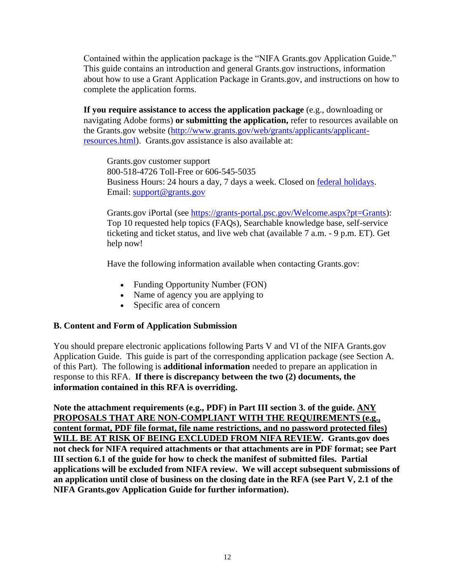Contained within the application package is the "NIFA Grants.gov Application Guide." This guide contains an introduction and general Grants.gov instructions, information about how to use a Grant Application Package in Grants.gov, and instructions on how to complete the application forms.

**If you require assistance to access the application package** (e.g., downloading or navigating Adobe forms) **or submitting the application,** refer to resources available on the Grants.gov website [\(http://www.grants.gov/web/grants/applicants/applicant](http://www.grants.gov/web/grants/applicants/applicant-resources.html)[resources.html\)](http://www.grants.gov/web/grants/applicants/applicant-resources.html). Grants.gov assistance is also available at:

Grants.gov customer support 800-518-4726 Toll-Free or 606-545-5035 Business Hours: 24 hours a day, 7 days a week. Closed on [federal holidays.](http://www.opm.gov/policy-data-oversight/snow-dismissal-procedures/federal-holidays/) Email: [support@grants.gov](mailto:support@grants.gov)

Grants.gov iPortal (see [https://grants-portal.psc.gov/Welcome.aspx?pt=Grants\)](https://grants-portal.psc.gov/Welcome.aspx?pt=Grants): Top 10 requested help topics (FAQs), Searchable knowledge base, self-service ticketing and ticket status, and live web chat (available 7 a.m. - 9 p.m. ET). [Get](https://grants-portal.psc.gov/Welcome.aspx?pt=Grants)  [help now!](https://grants-portal.psc.gov/Welcome.aspx?pt=Grants)

Have the following information available when contacting Grants.gov:

- Funding Opportunity Number (FON)
- Name of agency you are applying to
- Specific area of concern

#### <span id="page-11-0"></span>**B. Content and Form of Application Submission**

You should prepare electronic applications following Parts V and VI of the NIFA Grants.gov Application Guide. This guide is part of the corresponding application package (see Section A. of this Part). The following is **additional information** needed to prepare an application in response to this RFA. **If there is discrepancy between the two (2) documents, the information contained in this RFA is overriding.**

**Note the attachment requirements (e.g., PDF) in Part III section 3. of the guide. ANY PROPOSALS THAT ARE NON-COMPLIANT WITH THE REQUIREMENTS (e.g., content format, PDF file format, file name restrictions, and no password protected files) WILL BE AT RISK OF BEING EXCLUDED FROM NIFA REVIEW. Grants.gov does not check for NIFA required attachments or that attachments are in PDF format; see Part III section 6.1 of the guide for how to check the manifest of submitted files. Partial applications will be excluded from NIFA review. We will accept subsequent submissions of an application until close of business on the closing date in the RFA (see Part V, 2.1 of the NIFA Grants.gov Application Guide for further information).**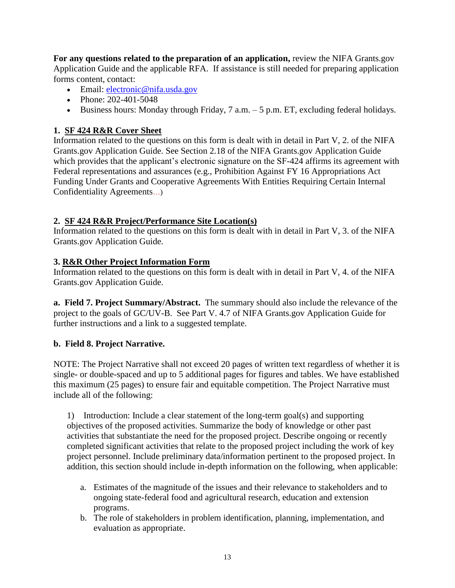**For any questions related to the preparation of an application,** review the NIFA Grants.gov Application Guide and the applicable RFA. If assistance is still needed for preparing application forms content, contact:

- Email: electronic@nifa.usda.gov
- Phone:  $202 401 5048$
- Business hours: Monday through Friday,  $7$  a.m.  $-5$  p.m. ET, excluding federal holidays.

### **1. SF 424 R&R Cover Sheet**

Information related to the questions on this form is dealt with in detail in Part V, 2. of the NIFA Grants.gov Application Guide. See Section 2.18 of the NIFA Grants.gov Application Guide which provides that the applicant's electronic signature on the SF-424 affirms its agreement with Federal representations and assurances (e.g., Prohibition Against FY 16 Appropriations Act Funding Under Grants and Cooperative Agreements With Entities Requiring Certain Internal Confidentiality Agreements…)

#### **2. SF 424 R&R Project/Performance Site Location(s)**

Information related to the questions on this form is dealt with in detail in Part V, 3. of the NIFA Grants.gov Application Guide.

#### **3. R&R Other Project Information Form**

Information related to the questions on this form is dealt with in detail in Part V, 4. of the NIFA Grants.gov Application Guide.

**a. Field 7. Project Summary/Abstract.** The summary should also include the relevance of the project to the goals of GC/UV-B. See Part V. 4.7 of NIFA Grants.gov Application Guide for further instructions and a link to a suggested template.

#### **b. Field 8. Project Narrative.**

NOTE: The Project Narrative shall not exceed 20 pages of written text regardless of whether it is single- or double-spaced and up to 5 additional pages for figures and tables. We have established this maximum (25 pages) to ensure fair and equitable competition. The Project Narrative must include all of the following:

1) Introduction: Include a clear statement of the long-term goal(s) and supporting objectives of the proposed activities. Summarize the body of knowledge or other past activities that substantiate the need for the proposed project. Describe ongoing or recently completed significant activities that relate to the proposed project including the work of key project personnel. Include preliminary data/information pertinent to the proposed project. In addition, this section should include in-depth information on the following, when applicable:

- a. Estimates of the magnitude of the issues and their relevance to stakeholders and to ongoing state-federal food and agricultural research, education and extension programs.
- b. The role of stakeholders in problem identification, planning, implementation, and evaluation as appropriate.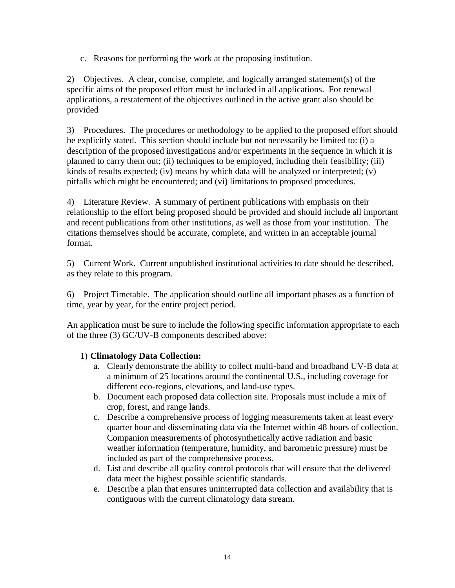c. Reasons for performing the work at the proposing institution.

2) Objectives. A clear, concise, complete, and logically arranged statement(s) of the specific aims of the proposed effort must be included in all applications. For renewal applications, a restatement of the objectives outlined in the active grant also should be provided

3) Procedures. The procedures or methodology to be applied to the proposed effort should be explicitly stated. This section should include but not necessarily be limited to: (i) a description of the proposed investigations and/or experiments in the sequence in which it is planned to carry them out; (ii) techniques to be employed, including their feasibility; (iii) kinds of results expected; (iv) means by which data will be analyzed or interpreted; (v) pitfalls which might be encountered; and (vi) limitations to proposed procedures.

4) Literature Review. A summary of pertinent publications with emphasis on their relationship to the effort being proposed should be provided and should include all important and recent publications from other institutions, as well as those from your institution. The citations themselves should be accurate, complete, and written in an acceptable journal format.

5) Current Work. Current unpublished institutional activities to date should be described, as they relate to this program.

6) Project Timetable. The application should outline all important phases as a function of time, year by year, for the entire project period.

An application must be sure to include the following specific information appropriate to each of the three (3) GC/UV-B components described above:

#### 1) **Climatology Data Collection:**

- a. Clearly demonstrate the ability to collect multi-band and broadband UV-B data at a minimum of 25 locations around the continental U.S., including coverage for different eco-regions, elevations, and land-use types.
- b. Document each proposed data collection site. Proposals must include a mix of crop, forest, and range lands.
- c. Describe a comprehensive process of logging measurements taken at least every quarter hour and disseminating data via the Internet within 48 hours of collection. Companion measurements of photosynthetically active radiation and basic weather information (temperature, humidity, and barometric pressure) must be included as part of the comprehensive process.
- d. List and describe all quality control protocols that will ensure that the delivered data meet the highest possible scientific standards.
- e. Describe a plan that ensures uninterrupted data collection and availability that is contiguous with the current climatology data stream.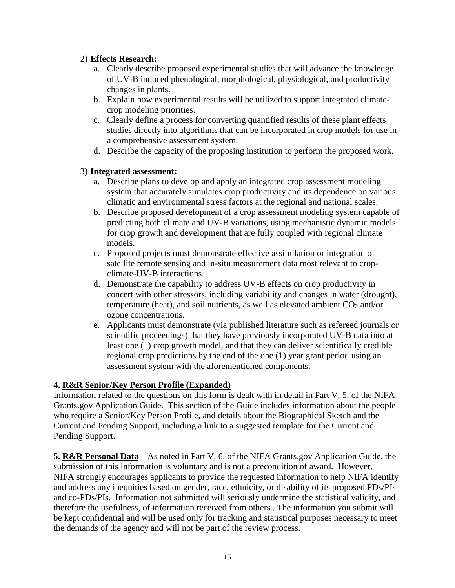### 2) **Effects Research:**

- a. Clearly describe proposed experimental studies that will advance the knowledge of UV-B induced phenological, morphological, physiological, and productivity changes in plants.
- b. Explain how experimental results will be utilized to support integrated climatecrop modeling priorities.
- c. Clearly define a process for converting quantified results of these plant effects studies directly into algorithms that can be incorporated in crop models for use in a comprehensive assessment system.
- d. Describe the capacity of the proposing institution to perform the proposed work.

# 3) **Integrated assessment:**

- a. Describe plans to develop and apply an integrated crop assessment modeling system that accurately simulates crop productivity and its dependence on various climatic and environmental stress factors at the regional and national scales.
- b. Describe proposed development of a crop assessment modeling system capable of predicting both climate and UV-B variations, using mechanistic dynamic models for crop growth and development that are fully coupled with regional climate models.
- c. Proposed projects must demonstrate effective assimilation or integration of satellite remote sensing and in-situ measurement data most relevant to cropclimate-UV-B interactions.
- d. Demonstrate the capability to address UV-B effects on crop productivity in concert with other stressors, including variability and changes in water (drought), temperature (heat), and soil nutrients, as well as elevated ambient  $CO<sub>2</sub>$  and/or ozone concentrations.
- e. Applicants must demonstrate (via published literature such as refereed journals or scientific proceedings) that they have previously incorporated UV-B data into at least one (1) crop growth model, and that they can deliver scientifically credible regional crop predictions by the end of the one (1) year grant period using an assessment system with the aforementioned components.

# **4. R&R Senior/Key Person Profile (Expanded)**

Information related to the questions on this form is dealt with in detail in Part V, 5. of the NIFA Grants.gov Application Guide. This section of the Guide includes information about the people who require a Senior/Key Person Profile, and details about the Biographical Sketch and the Current and Pending Support, including a link to a suggested template for the Current and Pending Support.

**5. R&R Personal Data –** As noted in Part V, 6. of the NIFA Grants.gov Application Guide, the submission of this information is voluntary and is not a precondition of award. However, NIFA strongly encourages applicants to provide the requested information to help NIFA identify and address any inequities based on gender, race, ethnicity, or disability of its proposed PDs/PIs and co-PDs/PIs. Information not submitted will seriously undermine the statistical validity, and therefore the usefulness, of information received from others.. The information you submit will be kept confidential and will be used only for tracking and statistical purposes necessary to meet the demands of the agency and will not be part of the review process.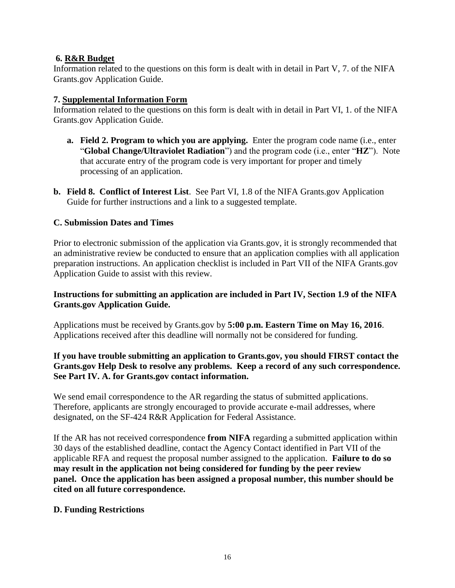#### **6. R&R Budget**

Information related to the questions on this form is dealt with in detail in Part V, 7. of the NIFA Grants.gov Application Guide.

#### **7. Supplemental Information Form**

Information related to the questions on this form is dealt with in detail in Part VI, 1. of the NIFA Grants.gov Application Guide.

- **a. Field 2. Program to which you are applying.** Enter the program code name (i.e., enter "**Global Change/Ultraviolet Radiation**") and the program code (i.e., enter "**HZ**"). Note that accurate entry of the program code is very important for proper and timely processing of an application.
- **b. Field 8. Conflict of Interest List**. See Part VI, 1.8 of the NIFA Grants.gov Application Guide for further instructions and a link to a suggested template.

#### <span id="page-15-0"></span>**C. Submission Dates and Times**

Prior to electronic submission of the application via Grants.gov, it is strongly recommended that an administrative review be conducted to ensure that an application complies with all application preparation instructions. An application checklist is included in Part VII of the NIFA Grants.gov Application Guide to assist with this review.

#### **Instructions for submitting an application are included in Part IV, Section 1.9 of the NIFA Grants.gov Application Guide.**

Applications must be received by Grants.gov by **5:00 p.m. Eastern Time on May 16, 2016**. Applications received after this deadline will normally not be considered for funding.

#### **If you have trouble submitting an application to Grants.gov, you should FIRST contact the Grants.gov Help Desk to resolve any problems. Keep a record of any such correspondence. See Part IV. A. for Grants.gov contact information.**

We send email correspondence to the AR regarding the status of submitted applications. Therefore, applicants are strongly encouraged to provide accurate e-mail addresses, where designated, on the SF-424 R&R Application for Federal Assistance.

If the AR has not received correspondence **from NIFA** regarding a submitted application within 30 days of the established deadline, contact the Agency Contact identified in Part VII of the applicable RFA and request the proposal number assigned to the application. **Failure to do so may result in the application not being considered for funding by the peer review panel. Once the application has been assigned a proposal number, this number should be cited on all future correspondence.**

#### <span id="page-15-1"></span>**D. Funding Restrictions**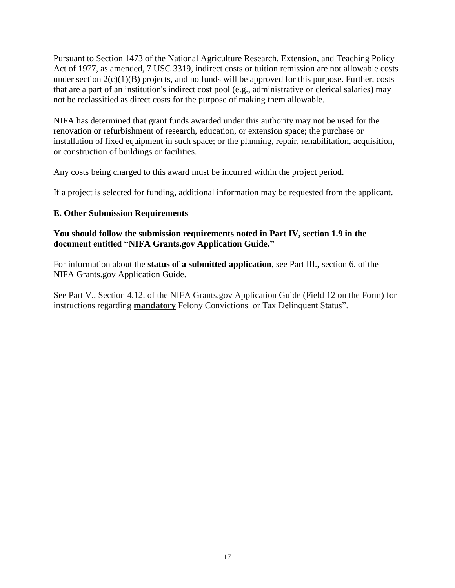Pursuant to Section 1473 of the National Agriculture Research, Extension, and Teaching Policy Act of 1977, as amended, 7 USC 3319, indirect costs or tuition remission are not allowable costs under section  $2(c)(1)(B)$  projects, and no funds will be approved for this purpose. Further, costs that are a part of an institution's indirect cost pool (e.g., administrative or clerical salaries) may not be reclassified as direct costs for the purpose of making them allowable.

NIFA has determined that grant funds awarded under this authority may not be used for the renovation or refurbishment of research, education, or extension space; the purchase or installation of fixed equipment in such space; or the planning, repair, rehabilitation, acquisition, or construction of buildings or facilities.

Any costs being charged to this award must be incurred within the project period.

If a project is selected for funding, additional information may be requested from the applicant.

#### <span id="page-16-0"></span>**E. Other Submission Requirements**

#### **You should follow the submission requirements noted in Part IV, section 1.9 in the document entitled "NIFA Grants.gov Application Guide."**

For information about the **status of a submitted application**, see Part III., section 6. of the NIFA Grants.gov Application Guide.

See Part V., Section 4.12. of the NIFA Grants.gov Application Guide (Field 12 on the Form) for instructions regarding **mandatory** Felony Convictions or Tax Delinquent Status".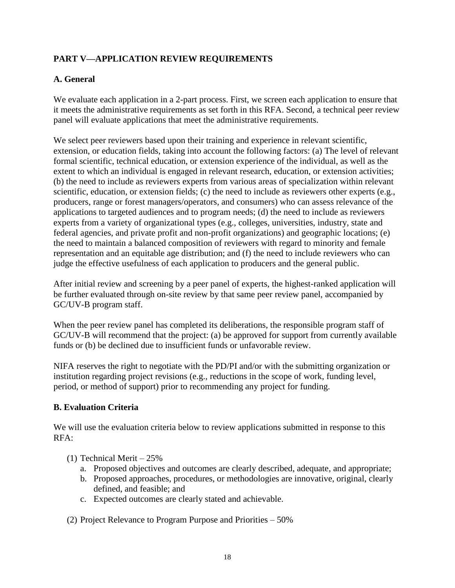# <span id="page-17-0"></span>**PART V—APPLICATION REVIEW REQUIREMENTS**

# <span id="page-17-1"></span>**A. General**

We evaluate each application in a 2-part process. First, we screen each application to ensure that it meets the administrative requirements as set forth in this RFA. Second, a technical peer review panel will evaluate applications that meet the administrative requirements.

We select peer reviewers based upon their training and experience in relevant scientific, extension, or education fields, taking into account the following factors: (a) The level of relevant formal scientific, technical education, or extension experience of the individual, as well as the extent to which an individual is engaged in relevant research, education, or extension activities; (b) the need to include as reviewers experts from various areas of specialization within relevant scientific, education, or extension fields; (c) the need to include as reviewers other experts (e.g., producers, range or forest managers/operators, and consumers) who can assess relevance of the applications to targeted audiences and to program needs; (d) the need to include as reviewers experts from a variety of organizational types (e.g., colleges, universities, industry, state and federal agencies, and private profit and non-profit organizations) and geographic locations; (e) the need to maintain a balanced composition of reviewers with regard to minority and female representation and an equitable age distribution; and (f) the need to include reviewers who can judge the effective usefulness of each application to producers and the general public.

After initial review and screening by a peer panel of experts, the highest-ranked application will be further evaluated through on-site review by that same peer review panel, accompanied by GC/UV-B program staff.

When the peer review panel has completed its deliberations, the responsible program staff of GC/UV-B will recommend that the project: (a) be approved for support from currently available funds or (b) be declined due to insufficient funds or unfavorable review.

NIFA reserves the right to negotiate with the PD/PI and/or with the submitting organization or institution regarding project revisions (e.g., reductions in the scope of work, funding level, period, or method of support) prior to recommending any project for funding.

#### <span id="page-17-2"></span>**B. Evaluation Criteria**

We will use the evaluation criteria below to review applications submitted in response to this RFA:

- (1) Technical Merit 25%
	- a. Proposed objectives and outcomes are clearly described, adequate, and appropriate;
	- b. Proposed approaches, procedures, or methodologies are innovative, original, clearly defined, and feasible; and
	- c. Expected outcomes are clearly stated and achievable.

(2) Project Relevance to Program Purpose and Priorities – 50%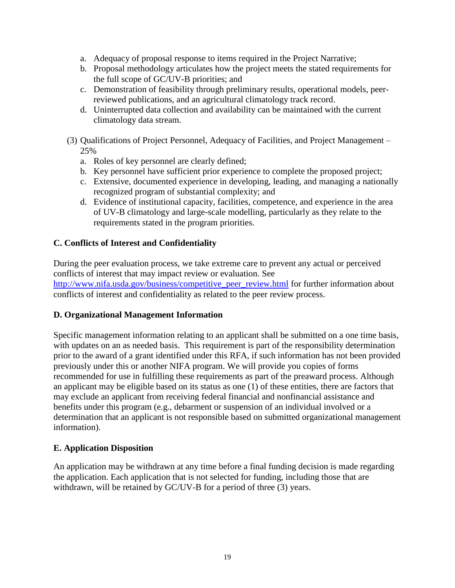- a. Adequacy of proposal response to items required in the Project Narrative;
- b. Proposal methodology articulates how the project meets the stated requirements for the full scope of GC/UV-B priorities; and
- c. Demonstration of feasibility through preliminary results, operational models, peerreviewed publications, and an agricultural climatology track record.
- d. Uninterrupted data collection and availability can be maintained with the current climatology data stream.
- (3) Qualifications of Project Personnel, Adequacy of Facilities, and Project Management 25%
	- a. Roles of key personnel are clearly defined;
	- b. Key personnel have sufficient prior experience to complete the proposed project;
	- c. Extensive, documented experience in developing, leading, and managing a nationally recognized program of substantial complexity; and
	- d. Evidence of institutional capacity, facilities, competence, and experience in the area of UV-B climatology and large-scale modelling, particularly as they relate to the requirements stated in the program priorities.

#### <span id="page-18-0"></span>**C. Conflicts of Interest and Confidentiality**

During the peer evaluation process, we take extreme care to prevent any actual or perceived conflicts of interest that may impact review or evaluation. See http://www.nifa.usda.gov/business/competitive peer review.html for further information about conflicts of interest and confidentiality as related to the peer review process.

#### <span id="page-18-1"></span>**D. Organizational Management Information**

Specific management information relating to an applicant shall be submitted on a one time basis, with updates on an as needed basis. This requirement is part of the responsibility determination prior to the award of a grant identified under this RFA, if such information has not been provided previously under this or another NIFA program. We will provide you copies of forms recommended for use in fulfilling these requirements as part of the preaward process. Although an applicant may be eligible based on its status as one (1) of these entities, there are factors that may exclude an applicant from receiving federal financial and nonfinancial assistance and benefits under this program (e.g., debarment or suspension of an individual involved or a determination that an applicant is not responsible based on submitted organizational management information).

#### <span id="page-18-2"></span>**E. Application Disposition**

An application may be withdrawn at any time before a final funding decision is made regarding the application. Each application that is not selected for funding, including those that are withdrawn, will be retained by GC/UV-B for a period of three (3) years.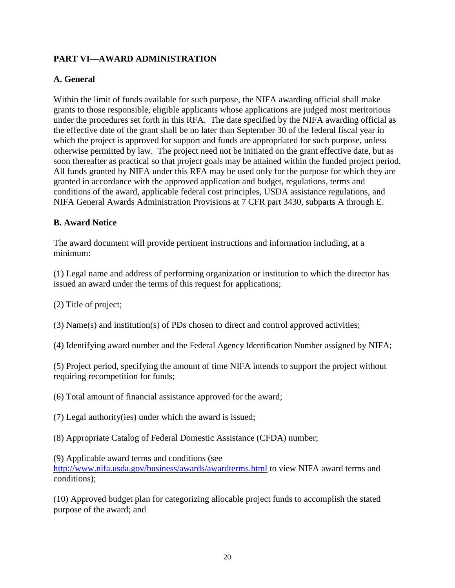# <span id="page-19-0"></span>**PART VI—AWARD ADMINISTRATION**

# <span id="page-19-1"></span>**A. General**

Within the limit of funds available for such purpose, the NIFA awarding official shall make grants to those responsible, eligible applicants whose applications are judged most meritorious under the procedures set forth in this RFA. The date specified by the NIFA awarding official as the effective date of the grant shall be no later than September 30 of the federal fiscal year in which the project is approved for support and funds are appropriated for such purpose, unless otherwise permitted by law. The project need not be initiated on the grant effective date, but as soon thereafter as practical so that project goals may be attained within the funded project period. All funds granted by NIFA under this RFA may be used only for the purpose for which they are granted in accordance with the approved application and budget, regulations, terms and conditions of the award, applicable federal cost principles, USDA assistance regulations, and NIFA General Awards Administration Provisions at 7 CFR part 3430, subparts A through E.

#### <span id="page-19-2"></span>**B. Award Notice**

The award document will provide pertinent instructions and information including, at a minimum:

(1) Legal name and address of performing organization or institution to which the director has issued an award under the terms of this request for applications;

(2) Title of project;

(3) Name(s) and institution(s) of PDs chosen to direct and control approved activities;

(4) Identifying award number and the Federal Agency Identification Number assigned by NIFA;

(5) Project period, specifying the amount of time NIFA intends to support the project without requiring recompetition for funds;

(6) Total amount of financial assistance approved for the award;

(7) Legal authority(ies) under which the award is issued;

(8) Appropriate Catalog of Federal Domestic Assistance (CFDA) number;

(9) Applicable award terms and conditions (see

<http://www.nifa.usda.gov/business/awards/awardterms.html> to view NIFA award terms and conditions);

(10) Approved budget plan for categorizing allocable project funds to accomplish the stated purpose of the award; and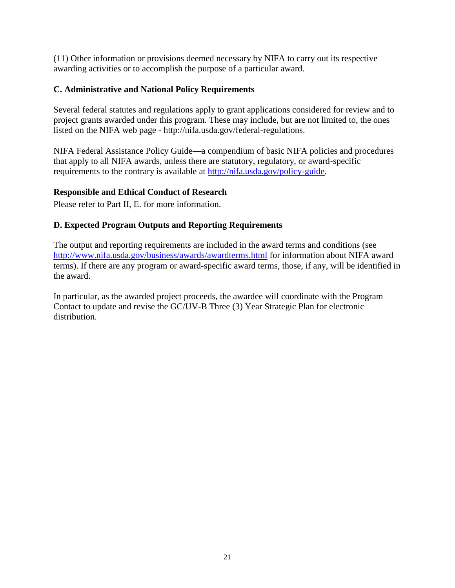(11) Other information or provisions deemed necessary by NIFA to carry out its respective awarding activities or to accomplish the purpose of a particular award.

### <span id="page-20-0"></span>**C. Administrative and National Policy Requirements**

Several federal statutes and regulations apply to grant applications considered for review and to project grants awarded under this program. These may include, but are not limited to, the ones listed on the NIFA web page - [http://nifa.usda.gov/federal-regulations.](http://nifa.usda.gov/federal-regulations)

NIFA Federal Assistance Policy Guide**—**a compendium of basic NIFA policies and procedures that apply to all NIFA awards, unless there are statutory, regulatory, or award-specific requirements to the contrary is available at [http://nifa.usda.gov/policy-guide.](http://nifa.usda.gov/policy-guide)

# **Responsible and Ethical Conduct of Research**

Please refer to Part II, E. for more information.

# <span id="page-20-1"></span>**D. Expected Program Outputs and Reporting Requirements**

The output and reporting requirements are included in the award terms and conditions (see <http://www.nifa.usda.gov/business/awards/awardterms.html> for information about NIFA award terms). If there are any program or award-specific award terms, those, if any, will be identified in the award.

In particular, as the awarded project proceeds, the awardee will coordinate with the Program Contact to update and revise the GC/UV-B Three (3) Year Strategic Plan for electronic distribution.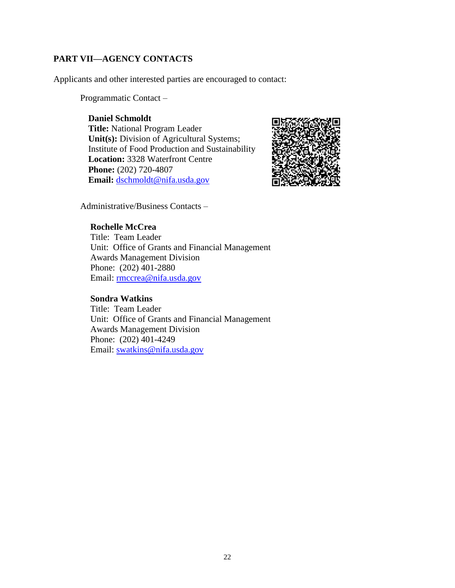# <span id="page-21-0"></span>**PART VII—AGENCY CONTACTS**

Applicants and other interested parties are encouraged to contact:

Programmatic Contact –

#### **Daniel Schmoldt**

**Title:** National Program Leader Unit(s): Division of Agricultural Systems; Institute of Food Production and Sustainability **Location:** 3328 Waterfront Centre **Phone:** (202) 720-4807 **Email:** [dschmoldt@nifa.usda.gov](mailto:dschmoldt@nifa.usda.gov)



Administrative/Business Contacts –

#### **Rochelle McCrea**

Title: Team Leader Unit: Office of Grants and Financial Management Awards Management Division Phone: (202) 401-2880 Email: [rmccrea@nifa.usda.gov](mailto:rmccrea@nifa.usda.gov)

#### **Sondra Watkins**

Title: Team Leader Unit: Office of Grants and Financial Management Awards Management Division Phone: (202) 401-4249 Email: [swatkins@nifa.usda.gov](mailto:swatkins@nifa.usda.gov)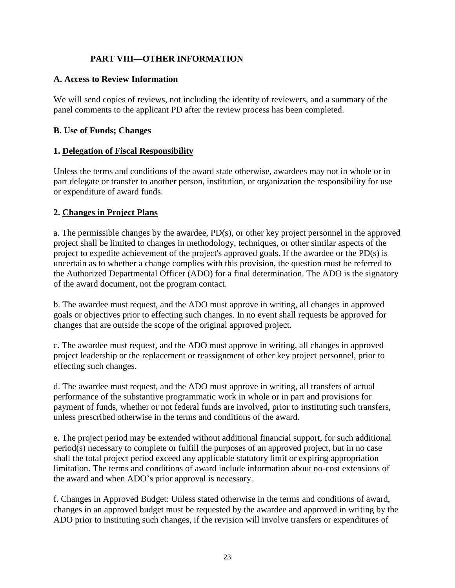# **PART VIII—OTHER INFORMATION**

#### <span id="page-22-1"></span><span id="page-22-0"></span>**A. Access to Review Information**

We will send copies of reviews, not including the identity of reviewers, and a summary of the panel comments to the applicant PD after the review process has been completed.

#### <span id="page-22-2"></span>**B. Use of Funds; Changes**

#### **1. Delegation of Fiscal Responsibility**

Unless the terms and conditions of the award state otherwise, awardees may not in whole or in part delegate or transfer to another person, institution, or organization the responsibility for use or expenditure of award funds.

#### **2. Changes in Project Plans**

a. The permissible changes by the awardee, PD(s), or other key project personnel in the approved project shall be limited to changes in methodology, techniques, or other similar aspects of the project to expedite achievement of the project's approved goals. If the awardee or the PD(s) is uncertain as to whether a change complies with this provision, the question must be referred to the Authorized Departmental Officer (ADO) for a final determination. The ADO is the signatory of the award document, not the program contact.

b. The awardee must request, and the ADO must approve in writing, all changes in approved goals or objectives prior to effecting such changes. In no event shall requests be approved for changes that are outside the scope of the original approved project.

c. The awardee must request, and the ADO must approve in writing, all changes in approved project leadership or the replacement or reassignment of other key project personnel, prior to effecting such changes.

d. The awardee must request, and the ADO must approve in writing, all transfers of actual performance of the substantive programmatic work in whole or in part and provisions for payment of funds, whether or not federal funds are involved, prior to instituting such transfers, unless prescribed otherwise in the terms and conditions of the award.

e. The project period may be extended without additional financial support, for such additional period(s) necessary to complete or fulfill the purposes of an approved project, but in no case shall the total project period exceed any applicable statutory limit or expiring appropriation limitation. The terms and conditions of award include information about no-cost extensions of the award and when ADO's prior approval is necessary.

f. Changes in Approved Budget: Unless stated otherwise in the terms and conditions of award, changes in an approved budget must be requested by the awardee and approved in writing by the ADO prior to instituting such changes, if the revision will involve transfers or expenditures of